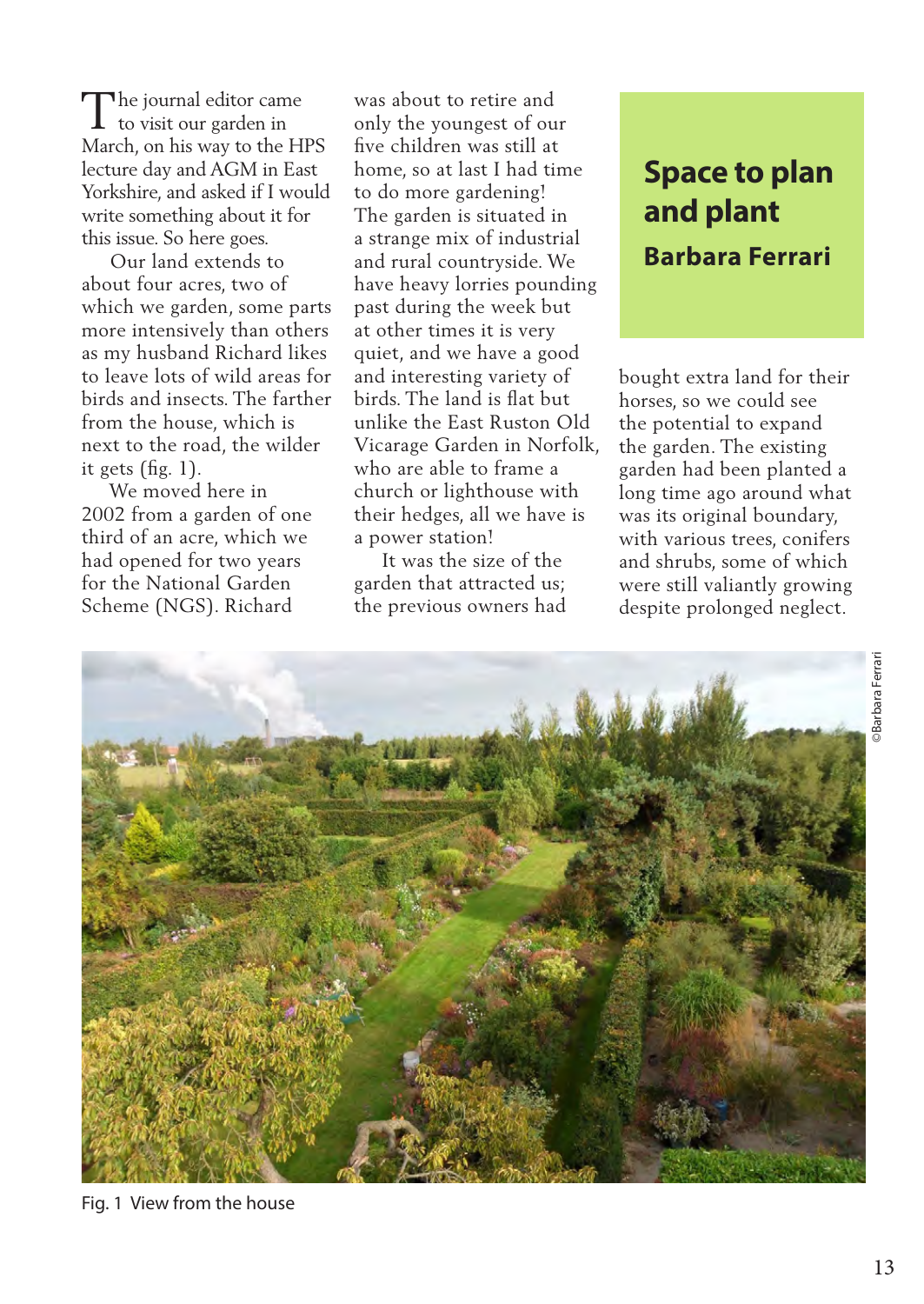The journal editor came<br>to visit our garden in to visit our garden in March, on his way to the HPS lecture day and AGM in East Yorkshire, and asked if I would write something about it for this issue. So here goes.

 Our land extends to about four acres, two of which we garden, some parts more intensively than others as my husband Richard likes to leave lots of wild areas for birds and insects. The farther from the house, which is next to the road, the wilder it gets (fig. 1).

 We moved here in 2002 from a garden of one third of an acre, which we had opened for two years for the National Garden Scheme (NGS). Richard

was about to retire and only the youngest of our five children was still at home, so at last I had time to do more gardening! The garden is situated in a strange mix of industrial and rural countryside. We have heavy lorries pounding past during the week but at other times it is very quiet, and we have a good and interesting variety of birds. The land is flat but unlike the East Ruston Old Vicarage Garden in Norfolk, who are able to frame a church or lighthouse with their hedges, all we have is a power station!

 It was the size of the garden that attracted us; the previous owners had

## **and plant Barbara Ferrari**

bought extra land for their horses, so we could see the potential to expand the garden. The existing garden had been planted a long time ago around what was its original boundary, with various trees, conifers and shrubs, some of which were still valiantly growing despite prolonged neglect.



Fig. 1 View from the house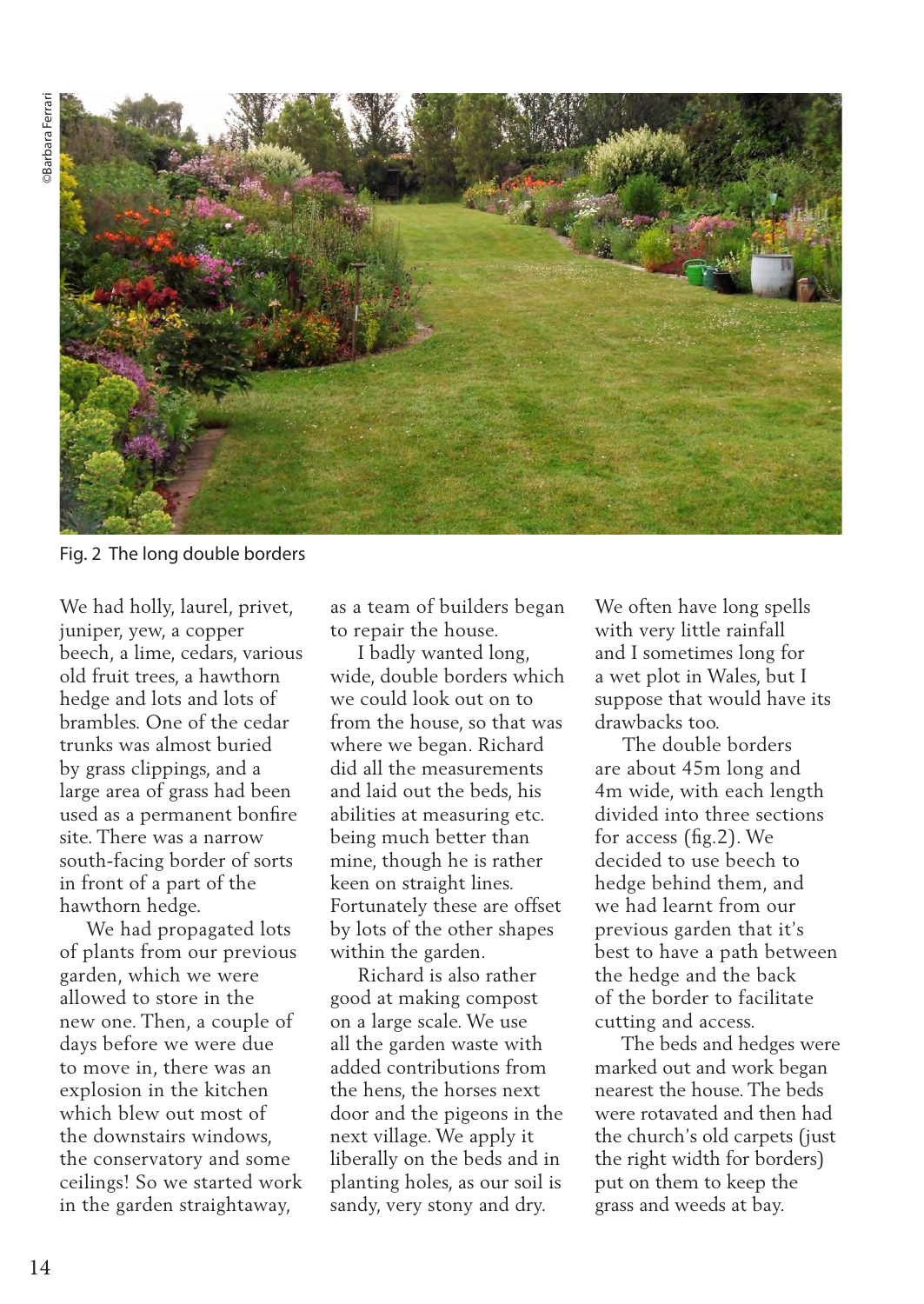

Fig. 2 The long double borders

We had holly, laurel, privet, juniper, yew, a copper beech, a lime, cedars, various old fruit trees, a hawthorn hedge and lots and lots of brambles. One of the cedar trunks was almost buried by grass clippings, and a large area of grass had been used as a permanent bonfire site. There was a narrow south-facing border of sorts in front of a part of the hawthorn hedge.

 We had propagated lots of plants from our previous garden, which we were allowed to store in the new one. Then, a couple of days before we were due to move in, there was an explosion in the kitchen which blew out most of the downstairs windows, the conservatory and some ceilings! So we started work in the garden straightaway,

as a team of builders began to repair the house.

 I badly wanted long, wide, double borders which we could look out on to from the house, so that was where we began. Richard did all the measurements and laid out the beds, his abilities at measuring etc. being much better than mine, though he is rather keen on straight lines. Fortunately these are offset by lots of the other shapes within the garden.

 Richard is also rather good at making compost on a large scale. We use all the garden waste with added contributions from the hens, the horses next door and the pigeons in the next village. We apply it liberally on the beds and in planting holes, as our soil is sandy, very stony and dry.

We often have long spells with very little rainfall and I sometimes long for a wet plot in Wales, but I suppose that would have its drawbacks too.

 The double borders are about 45m long and 4m wide, with each length divided into three sections for access (fig.2). We decided to use beech to hedge behind them, and we had learnt from our previous garden that it's best to have a path between the hedge and the back of the border to facilitate cutting and access.

 The beds and hedges were marked out and work began nearest the house. The beds were rotavated and then had the church's old carpets (just the right width for borders) put on them to keep the grass and weeds at bay.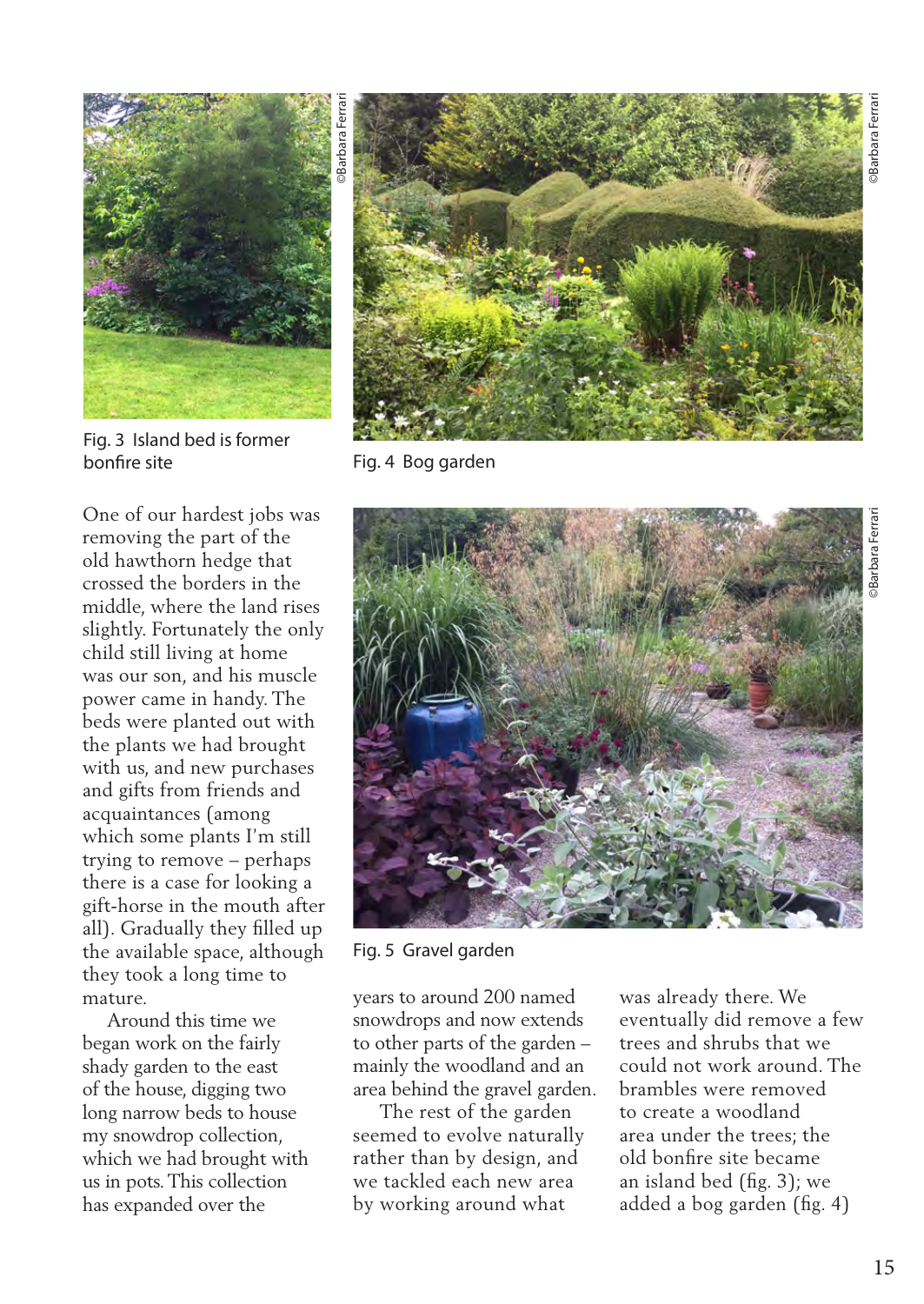

Fig. 3 Island bed is former bonfire site Fig. 4 Bog garden

One of our hardest jobs was removing the part of the old hawthorn hedge that crossed the borders in the middle, where the land rises slightly. Fortunately the only child still living at home was our son, and his muscle power came in handy. The beds were planted out with the plants we had brought with us, and new purchases and gifts from friends and acquaintances (among which some plants I'm still trying to remove – perhaps there is a case for looking a gift-horse in the mouth after all). Gradually they filled up the available space, although they took a long time to mature.

 Around this time we began work on the fairly shady garden to the east of the house, digging two long narrow beds to house my snowdrop collection, which we had brought with us in pots. This collection has expanded over the





Fig. 5 Gravel garden

years to around 200 named snowdrops and now extends to other parts of the garden – mainly the woodland and an area behind the gravel garden.

 The rest of the garden seemed to evolve naturally rather than by design, and we tackled each new area by working around what

was already there. We eventually did remove a few trees and shrubs that we could not work around. The brambles were removed to create a woodland area under the trees; the old bonfire site became an island bed (fig. 3); we added a bog garden (fig. 4)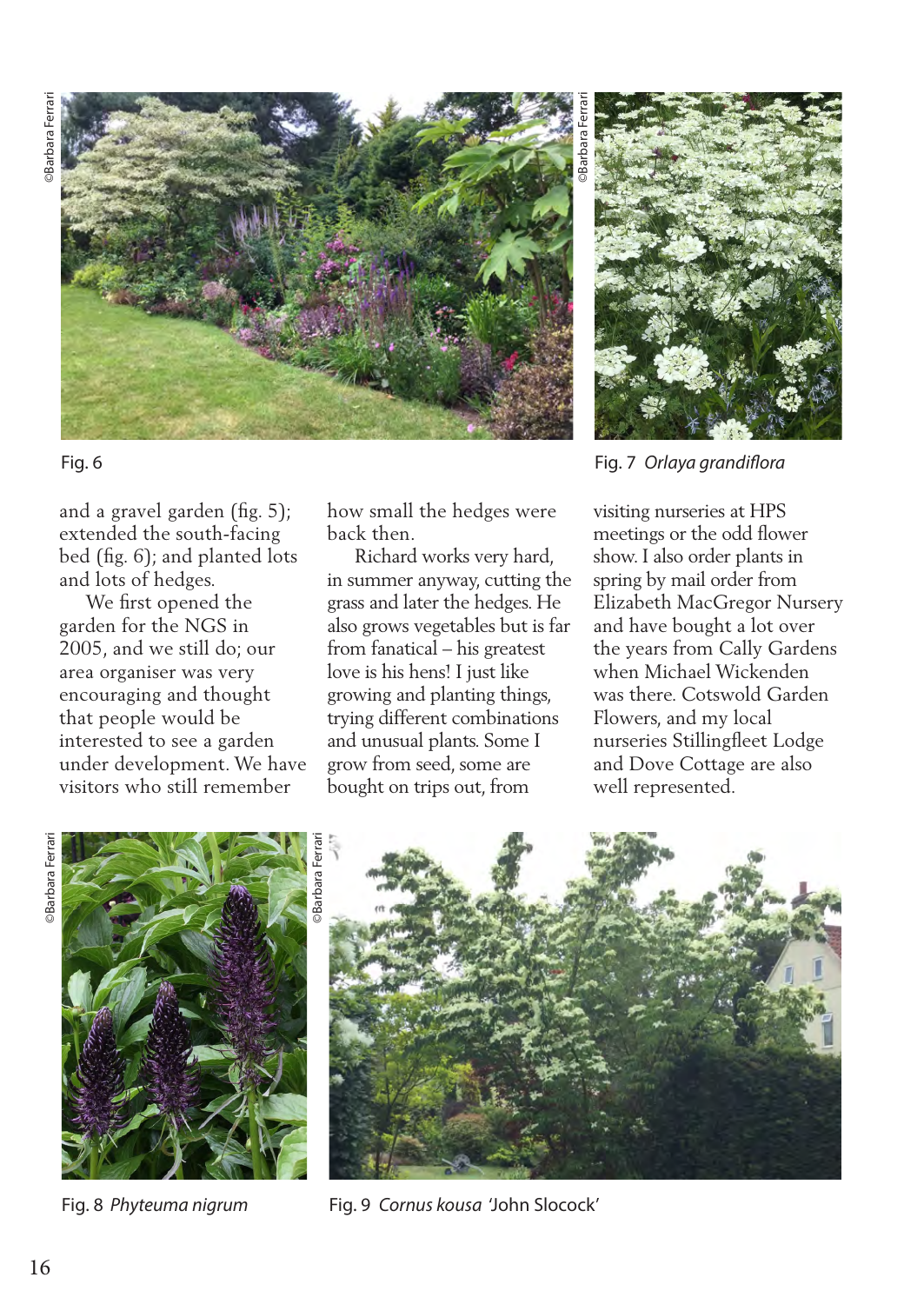

## Fig. 6

and a gravel garden (fig. 5); extended the south-facing bed (fig. 6); and planted lots and lots of hedges.

 We first opened the garden for the NGS in 2005, and we still do; our area organiser was very encouraging and thought that people would be interested to see a garden under development. We have visitors who still remember

how small the hedges were back then.

 Richard works very hard, in summer anyway, cutting the grass and later the hedges. He also grows vegetables but is far from fanatical – his greatest love is his hens! I just like growing and planting things, trying different combinations and unusual plants. Some I grow from seed, some are bought on trips out, from



Fig. 7 *Orlaya grandiflora*

visiting nurseries at HPS meetings or the odd flower show. I also order plants in spring by mail order from Elizabeth MacGregor Nursery and have bought a lot over the years from Cally Gardens when Michael Wickenden was there. Cotswold Garden Flowers, and my local nurseries Stillingfleet Lodge and Dove Cottage are also well represented.



Fig. 8 *Phyteuma nigrum*



Fig. 9 *Cornus kousa* 'John Slocock'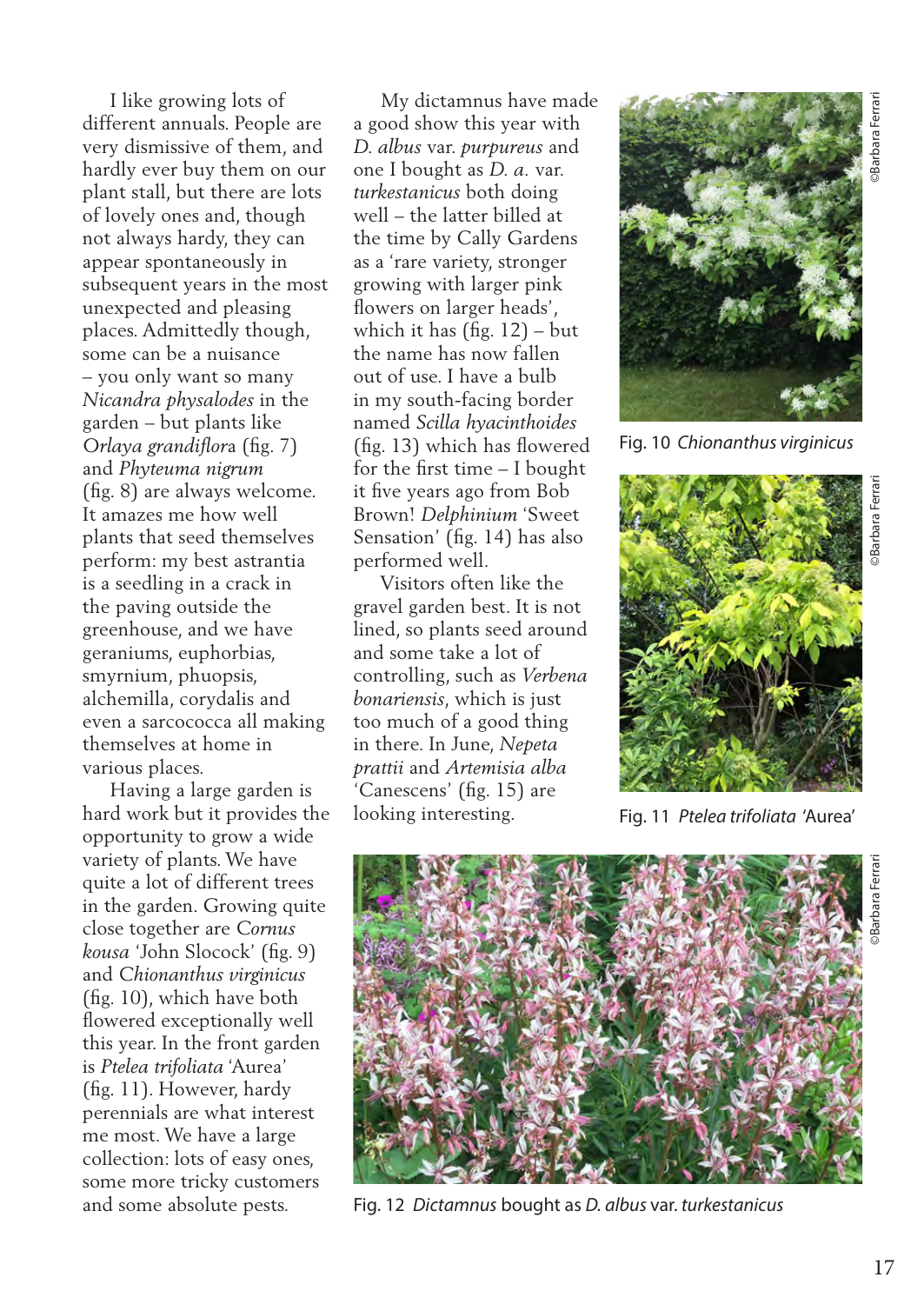I like growing lots of different annuals. People are very dismissive of them, and hardly ever buy them on our plant stall, but there are lots of lovely ones and, though not always hardy, they can appear spontaneously in subsequent years in the most unexpected and pleasing places. Admittedly though, some can be a nuisance – you only want so many *Nicandra physalodes* in the garden – but plants like *Orlaya grandiflor*a (fig. 7) and *Phyteuma nigrum* (fig. 8) are always welcome. It amazes me how well plants that seed themselves perform: my best astrantia is a seedling in a crack in the paving outside the greenhouse, and we have geraniums, euphorbias, smyrnium, phuopsis, alchemilla, corydalis and even a sarcococca all making themselves at home in various places.

 Having a large garden is hard work but it provides the opportunity to grow a wide variety of plants. We have quite a lot of different trees in the garden. Growing quite close together are *Cornus kousa* 'John Slocock' (fig. 9) and *Chionanthus virginicus*  (fig. 10), which have both flowered exceptionally well this year. In the front garden is *Ptelea trifoliata* 'Aurea' (fig. 11). However, hardy perennials are what interest me most. We have a large collection: lots of easy ones, some more tricky customers and some absolute pests.

 My dictamnus have made a good show this year with *D. albus* var. *purpureus* and one I bought as *D. a.* var. *turkestanicus* both doing well – the latter billed at the time by Cally Gardens as a 'rare variety, stronger growing with larger pink flowers on larger heads', which it has (fig. 12) – but the name has now fallen out of use. I have a bulb in my south-facing border named *Scilla hyacinthoides* (fig. 13) which has flowered for the first time – I bought it five years ago from Bob Brown! *Delphinium* 'Sweet Sensation' (fig. 14) has also performed well.

 Visitors often like the gravel garden best. It is not lined, so plants seed around and some take a lot of controlling, such as *Verbena bonariensis*, which is just too much of a good thing in there. In June, *Nepeta prattii* and *Artemisia alba* 'Canescens' (fig. 15) are looking interesting.



Fig. 10 *Chionanthus virginicus*



Fig. 11 *Ptelea trifoliata* 'Aurea'



Fig. 12 *Dictamnus* bought as *D. albus* var. *turkestanicus*